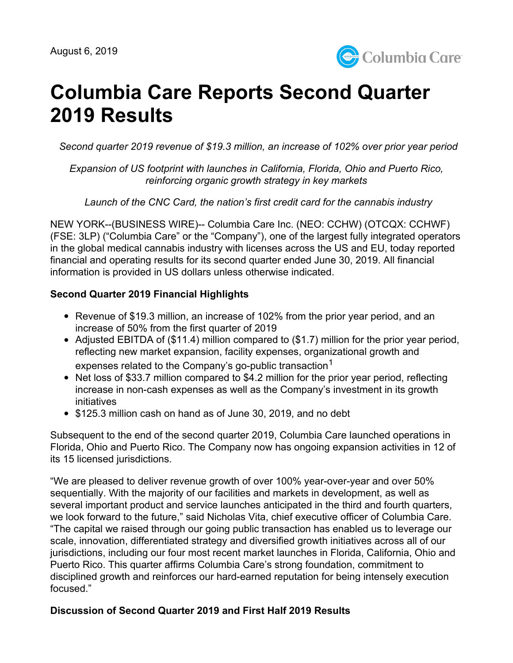

# **Columbia Care Reports Second Quarter 2019 Results**

*Second quarter 2019 revenue of \$19.3 million, an increase of 102% over prior year period*

*Expansion of US footprint with launches in California, Florida, Ohio and Puerto Rico, reinforcing organic growth strategy in key markets*

*Launch of the CNC Card, the nation's first credit card for the cannabis industry*

NEW YORK--(BUSINESS WIRE)-- Columbia Care Inc. (NEO: CCHW) (OTCQX: CCHWF) (FSE: 3LP) ("Columbia Care" or the "Company"), one of the largest fully integrated operators in the global medical cannabis industry with licenses across the US and EU, today reported financial and operating results for its second quarter ended June 30, 2019. All financial information is provided in US dollars unless otherwise indicated.

#### **Second Quarter 2019 Financial Highlights**

- Revenue of \$19.3 million, an increase of 102% from the prior year period, and an increase of 50% from the first quarter of 2019
- Adjusted EBITDA of (\$11.4) million compared to (\$1.7) million for the prior year period, reflecting new market expansion, facility expenses, organizational growth and expenses related to the Company's go-public transaction $^1$
- Net loss of \$33.7 million compared to \$4.2 million for the prior year period, reflecting increase in non-cash expenses as well as the Company's investment in its growth initiatives
- \$125.3 million cash on hand as of June 30, 2019, and no debt

Subsequent to the end of the second quarter 2019, Columbia Care launched operations in Florida, Ohio and Puerto Rico. The Company now has ongoing expansion activities in 12 of its 15 licensed jurisdictions.

"We are pleased to deliver revenue growth of over 100% year-over-year and over 50% sequentially. With the majority of our facilities and markets in development, as well as several important product and service launches anticipated in the third and fourth quarters, we look forward to the future," said Nicholas Vita, chief executive officer of Columbia Care. "The capital we raised through our going public transaction has enabled us to leverage our scale, innovation, differentiated strategy and diversified growth initiatives across all of our jurisdictions, including our four most recent market launches in Florida, California, Ohio and Puerto Rico. This quarter affirms Columbia Care's strong foundation, commitment to disciplined growth and reinforces our hard-earned reputation for being intensely execution focused."

#### **Discussion of Second Quarter 2019 and First Half 2019 Results**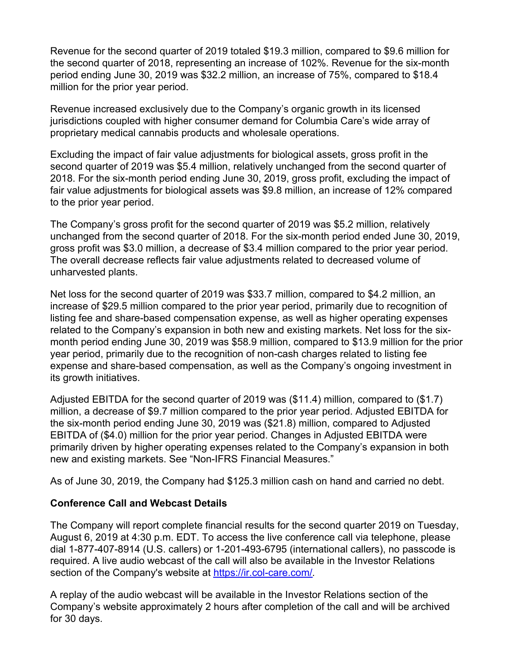Revenue for the second quarter of 2019 totaled \$19.3 million, compared to \$9.6 million for the second quarter of 2018, representing an increase of 102%. Revenue for the six-month period ending June 30, 2019 was \$32.2 million, an increase of 75%, compared to \$18.4 million for the prior year period.

Revenue increased exclusively due to the Company's organic growth in its licensed jurisdictions coupled with higher consumer demand for Columbia Care's wide array of proprietary medical cannabis products and wholesale operations.

Excluding the impact of fair value adjustments for biological assets, gross profit in the second quarter of 2019 was \$5.4 million, relatively unchanged from the second quarter of 2018. For the six-month period ending June 30, 2019, gross profit, excluding the impact of fair value adjustments for biological assets was \$9.8 million, an increase of 12% compared to the prior year period.

The Company's gross profit for the second quarter of 2019 was \$5.2 million, relatively unchanged from the second quarter of 2018. For the six-month period ended June 30, 2019, gross profit was \$3.0 million, a decrease of \$3.4 million compared to the prior year period. The overall decrease reflects fair value adjustments related to decreased volume of unharvested plants.

Net loss for the second quarter of 2019 was \$33.7 million, compared to \$4.2 million, an increase of \$29.5 million compared to the prior year period, primarily due to recognition of listing fee and share-based compensation expense, as well as higher operating expenses related to the Company's expansion in both new and existing markets. Net loss for the sixmonth period ending June 30, 2019 was \$58.9 million, compared to \$13.9 million for the prior year period, primarily due to the recognition of non-cash charges related to listing fee expense and share-based compensation, as well as the Company's ongoing investment in its growth initiatives.

Adjusted EBITDA for the second quarter of 2019 was (\$11.4) million, compared to (\$1.7) million, a decrease of \$9.7 million compared to the prior year period. Adjusted EBITDA for the six-month period ending June 30, 2019 was (\$21.8) million, compared to Adjusted EBITDA of (\$4.0) million for the prior year period. Changes in Adjusted EBITDA were primarily driven by higher operating expenses related to the Company's expansion in both new and existing markets. See "Non-IFRS Financial Measures."

As of June 30, 2019, the Company had \$125.3 million cash on hand and carried no debt.

#### **Conference Call and Webcast Details**

The Company will report complete financial results for the second quarter 2019 on Tuesday, August 6, 2019 at 4:30 p.m. EDT. To access the live conference call via telephone, please dial 1-877-407-8914 (U.S. callers) or 1-201-493-6795 (international callers), no passcode is required. A live audio webcast of the call will also be available in the Investor Relations section of the Company's website at [https://ir.col-care.com/.](https://ir.col-care.com/)

A replay of the audio webcast will be available in the Investor Relations section of the Company's website approximately 2 hours after completion of the call and will be archived for 30 days.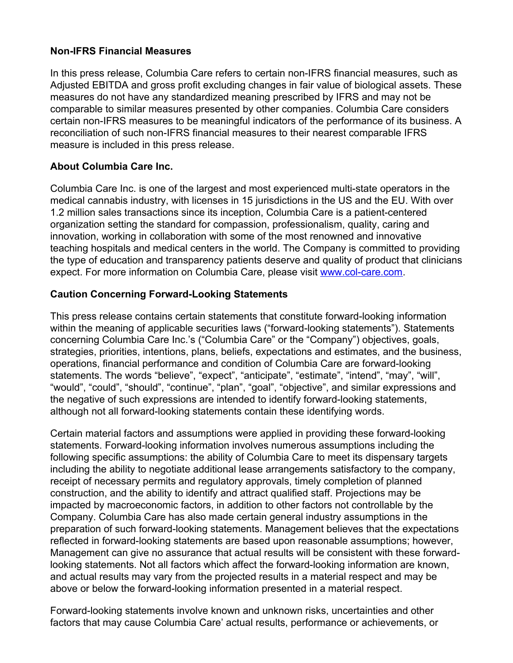#### **Non-IFRS Financial Measures**

In this press release, Columbia Care refers to certain non-IFRS financial measures, such as Adjusted EBITDA and gross profit excluding changes in fair value of biological assets. These measures do not have any standardized meaning prescribed by IFRS and may not be comparable to similar measures presented by other companies. Columbia Care considers certain non-IFRS measures to be meaningful indicators of the performance of its business. A reconciliation of such non-IFRS financial measures to their nearest comparable IFRS measure is included in this press release.

#### **About Columbia Care Inc.**

Columbia Care Inc. is one of the largest and most experienced multi-state operators in the medical cannabis industry, with licenses in 15 jurisdictions in the US and the EU. With over 1.2 million sales transactions since its inception, Columbia Care is a patient-centered organization setting the standard for compassion, professionalism, quality, caring and innovation, working in collaboration with some of the most renowned and innovative teaching hospitals and medical centers in the world. The Company is committed to providing the type of education and transparency patients deserve and quality of product that clinicians expect. For more information on Columbia Care, please visit [www.col-care.com.](http://www.col-care.com)

#### **Caution Concerning Forward-Looking Statements**

This press release contains certain statements that constitute forward-looking information within the meaning of applicable securities laws ("forward-looking statements"). Statements concerning Columbia Care Inc.'s ("Columbia Care" or the "Company") objectives, goals, strategies, priorities, intentions, plans, beliefs, expectations and estimates, and the business, operations, financial performance and condition of Columbia Care are forward-looking statements. The words "believe", "expect", "anticipate", "estimate", "intend", "may", "will", "would", "could", "should", "continue", "plan", "goal", "objective", and similar expressions and the negative of such expressions are intended to identify forward-looking statements, although not all forward-looking statements contain these identifying words.

Certain material factors and assumptions were applied in providing these forward-looking statements. Forward-looking information involves numerous assumptions including the following specific assumptions: the ability of Columbia Care to meet its dispensary targets including the ability to negotiate additional lease arrangements satisfactory to the company, receipt of necessary permits and regulatory approvals, timely completion of planned construction, and the ability to identify and attract qualified staff. Projections may be impacted by macroeconomic factors, in addition to other factors not controllable by the Company. Columbia Care has also made certain general industry assumptions in the preparation of such forward-looking statements. Management believes that the expectations reflected in forward-looking statements are based upon reasonable assumptions; however, Management can give no assurance that actual results will be consistent with these forwardlooking statements. Not all factors which affect the forward-looking information are known, and actual results may vary from the projected results in a material respect and may be above or below the forward-looking information presented in a material respect.

Forward-looking statements involve known and unknown risks, uncertainties and other factors that may cause Columbia Care' actual results, performance or achievements, or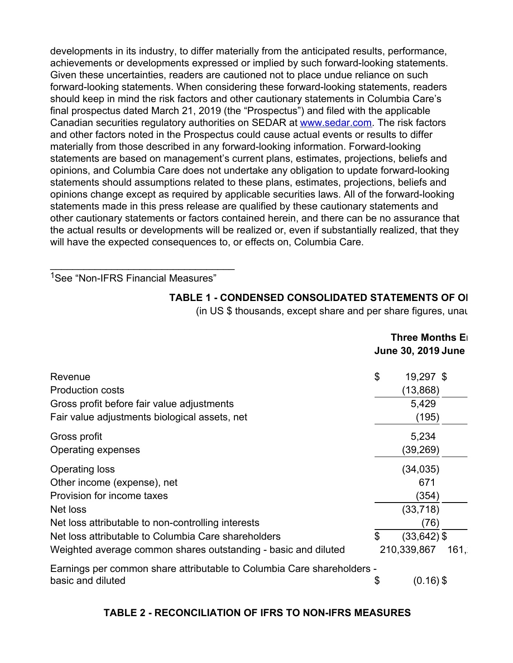developments in its industry, to differ materially from the anticipated results, performance, achievements or developments expressed or implied by such forward-looking statements. Given these uncertainties, readers are cautioned not to place undue reliance on such forward-looking statements. When considering these forward-looking statements, readers should keep in mind the risk factors and other cautionary statements in Columbia Care's final prospectus dated March 21, 2019 (the "Prospectus") and filed with the applicable Canadian securities regulatory authorities on SEDAR at [www.sedar.com](http://www.sedar.com). The risk factors and other factors noted in the Prospectus could cause actual events or results to differ materially from those described in any forward-looking information. Forward-looking statements are based on management's current plans, estimates, projections, beliefs and opinions, and Columbia Care does not undertake any obligation to update forward-looking statements should assumptions related to these plans, estimates, projections, beliefs and opinions change except as required by applicable securities laws. All of the forward-looking statements made in this press release are qualified by these cautionary statements and other cautionary statements or factors contained herein, and there can be no assurance that the actual results or developments will be realized or, even if substantially realized, that they will have the expected consequences to, or effects on, Columbia Care.

<sup>1</sup>See "Non-IFRS Financial Measures"

\_\_\_\_\_\_\_\_\_\_\_\_\_\_\_\_\_\_\_\_\_\_\_\_\_\_\_\_\_\_\_\_\_

#### **TABLE 1 - CONDENSED CONSOLIDATED STATEMENTS OF OIL**

(in US  $$$  thousands, except share and per share figures, unaudities

|                                                                                             | <b>Three Months E</b><br><b>June 30, 2019 June</b> |                |      |  |
|---------------------------------------------------------------------------------------------|----------------------------------------------------|----------------|------|--|
| Revenue                                                                                     | \$                                                 | 19,297 \$      |      |  |
| <b>Production costs</b>                                                                     |                                                    | (13, 868)      |      |  |
| Gross profit before fair value adjustments                                                  |                                                    | 5,429          |      |  |
| Fair value adjustments biological assets, net                                               |                                                    | (195)          |      |  |
| Gross profit                                                                                |                                                    | 5,234          |      |  |
| Operating expenses                                                                          |                                                    | (39,269)       |      |  |
| <b>Operating loss</b>                                                                       |                                                    | (34, 035)      |      |  |
| Other income (expense), net                                                                 |                                                    | 671            |      |  |
| Provision for income taxes                                                                  |                                                    | (354)          |      |  |
| Net loss                                                                                    |                                                    | (33, 718)      |      |  |
| Net loss attributable to non-controlling interests                                          |                                                    | (76)           |      |  |
| Net loss attributable to Columbia Care shareholders                                         | \$                                                 | $(33, 642)$ \$ |      |  |
| Weighted average common shares outstanding - basic and diluted                              |                                                    | 210,339,867    | 161, |  |
| Earnings per common share attributable to Columbia Care shareholders -<br>basic and diluted | \$                                                 | $(0.16)$ \$    |      |  |

### **TABLE 2 - RECONCILIATION OF IFRS TO NON-IFRS MEASURES**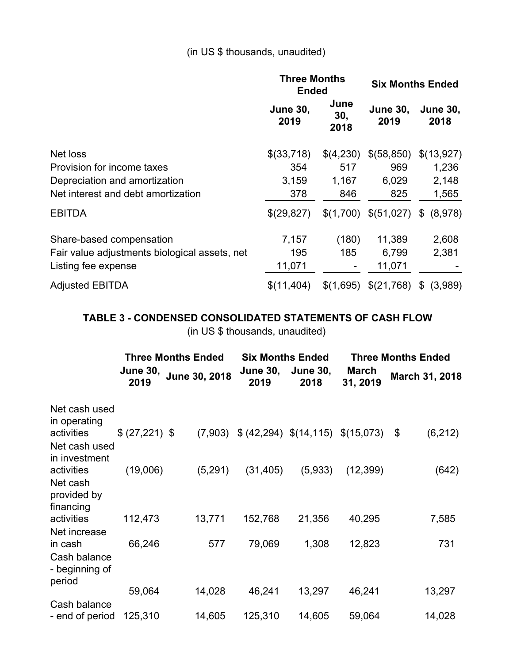## (in US \$ thousands, unaudited)

|                                               | <b>Three Months</b><br><b>Ended</b> |                     | <b>Six Months Ended</b>           |                         |
|-----------------------------------------------|-------------------------------------|---------------------|-----------------------------------|-------------------------|
|                                               | <b>June 30,</b><br>2019             | June<br>30,<br>2018 | <b>June 30,</b><br>2019           | <b>June 30,</b><br>2018 |
| Net loss                                      | \$(33,718)                          | \$(4,230)           | \$(58,850)                        | \$(13,927)              |
| Provision for income taxes                    | 354                                 | 517                 | 969                               | 1,236                   |
| Depreciation and amortization                 | 3,159                               | 1,167               | 6,029                             | 2,148                   |
| Net interest and debt amortization            | 378                                 | 846                 | 825                               | 1,565                   |
| <b>EBITDA</b>                                 | \$(29,827)                          |                     | $$(1,700)$ $$(51,027)$ $$(8,978)$ |                         |
| Share-based compensation                      | 7,157                               | (180)               | 11,389                            | 2,608                   |
| Fair value adjustments biological assets, net | 195                                 | 185                 | 6,799                             | 2,381                   |
| Listing fee expense                           | 11,071                              |                     | 11,071                            |                         |
| <b>Adjusted EBITDA</b>                        | \$(11, 404)                         | \$(1,695)           | \$(21,768)                        | (3,989)<br>$\mathbb{S}$ |

# **TABLE 3 - CONDENSED CONSOLIDATED STATEMENTS OF CASH FLOW**

(in US \$ thousands, unaudited)

|                                              | <b>Three Months Ended</b> |               | <b>Six Months Ended</b> |                                  | <b>Three Months Ended</b> |                |  |  |
|----------------------------------------------|---------------------------|---------------|-------------------------|----------------------------------|---------------------------|----------------|--|--|
|                                              | <b>June 30,</b><br>2019   | June 30, 2018 | <b>June 30,</b><br>2019 | <b>June 30,</b><br>2018          | <b>March</b><br>31, 2019  | March 31, 2018 |  |  |
| Net cash used<br>in operating                |                           |               |                         |                                  |                           |                |  |  |
| activities<br>Net cash used<br>in investment | \$ (27,221) \$            | (7,903)       |                         | $(42,294)$ $(14,115)$ $(15,073)$ |                           | (6, 212)<br>\$ |  |  |
| activities                                   | (19,006)                  | (5,291)       | (31, 405)               | (5,933)                          | (12, 399)                 | (642)          |  |  |
| Net cash<br>provided by<br>financing         |                           |               |                         |                                  |                           |                |  |  |
| activities                                   | 112,473                   | 13,771        | 152,768                 | 21,356                           | 40,295                    | 7,585          |  |  |
| Net increase<br>in cash<br>Cash balance      | 66,246                    | 577           | 79,069                  | 1,308                            | 12,823                    | 731            |  |  |
| - beginning of<br>period                     |                           |               |                         |                                  |                           |                |  |  |
|                                              | 59,064                    | 14,028        | 46,241                  | 13,297                           | 46,241                    | 13,297         |  |  |
| Cash balance<br>- end of period              | 125,310                   | 14,605        | 125,310                 | 14,605                           | 59,064                    | 14,028         |  |  |